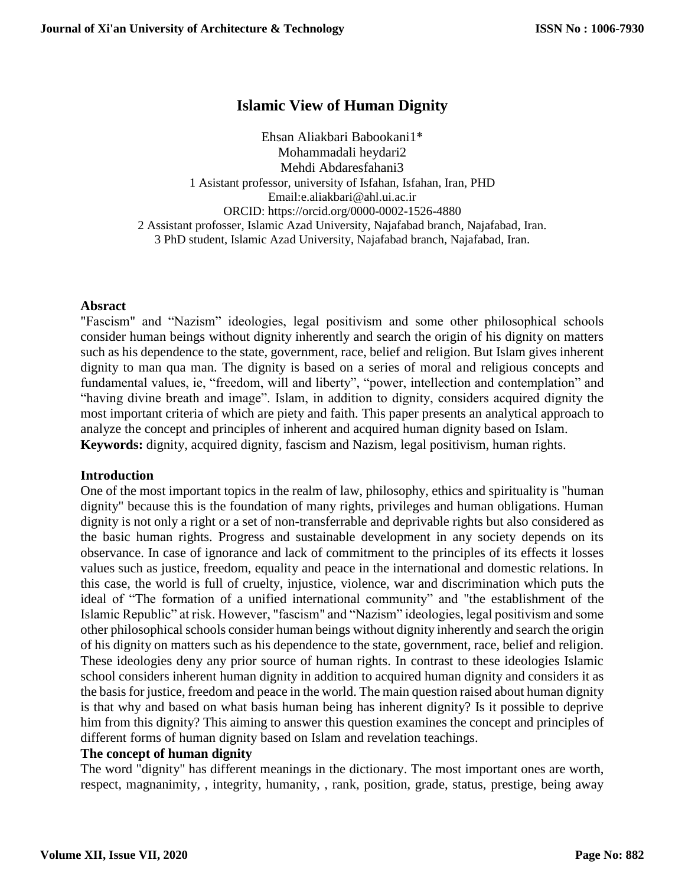# **Islamic View of Human Dignity**

Ehsan Aliakbari Babookani1\* Mohammadali heydari2 Mehdi Abdaresfahani3 1 Asistant professor, university of Isfahan, Isfahan, Iran, PHD Email:e.aliakbari@ahl.ui.ac.ir ORCID: https://orcid.org/0000-0002-1526-4880 2 Assistant profosser, Islamic Azad University, Najafabad branch, Najafabad, Iran. 3 PhD student, Islamic Azad University, Najafabad branch, Najafabad, Iran.

#### **Absract**

"Fascism" and "Nazism" ideologies, legal positivism and some other philosophical schools consider human beings without dignity inherently and search the origin of his dignity on matters such as his dependence to the state, government, race, belief and religion. But Islam gives inherent dignity to man qua man. The dignity is based on a series of moral and religious concepts and fundamental values, ie, "freedom, will and liberty", "power, intellection and contemplation" and "having divine breath and image". Islam, in addition to dignity, considers acquired dignity the most important criteria of which are piety and faith. This paper presents an analytical approach to analyze the concept and principles of inherent and acquired human dignity based on Islam. **Keywords:** dignity, acquired dignity, fascism and Nazism, legal positivism, human rights.

#### **Introduction**

One of the most important topics in the realm of law, philosophy, ethics and spirituality is "human dignity" because this is the foundation of many rights, privileges and human obligations. Human dignity is not only a right or a set of non-transferrable and deprivable rights but also considered as the basic human rights. Progress and sustainable development in any society depends on its observance. In case of ignorance and lack of commitment to the principles of its effects it losses values such as justice, freedom, equality and peace in the international and domestic relations. In this case, the world is full of cruelty, injustice, violence, war and discrimination which puts the ideal of "The formation of a unified international community" and "the establishment of the Islamic Republic" at risk. However, "fascism" and "Nazism" ideologies, legal positivism and some other philosophical schools consider human beings without dignity inherently and search the origin of his dignity on matters such as his dependence to the state, government, race, belief and religion. These ideologies deny any prior source of human rights. In contrast to these ideologies Islamic school considers inherent human dignity in addition to acquired human dignity and considers it as the basis for justice, freedom and peace in the world. The main question raised about human dignity is that why and based on what basis human being has inherent dignity? Is it possible to deprive him from this dignity? This aiming to answer this question examines the concept and principles of different forms of human dignity based on Islam and revelation teachings.

## **The concept of human dignity**

The word "dignity" has different meanings in the dictionary. The most important ones are worth, respect, magnanimity, , integrity, humanity, , rank, position, grade, status, prestige, being away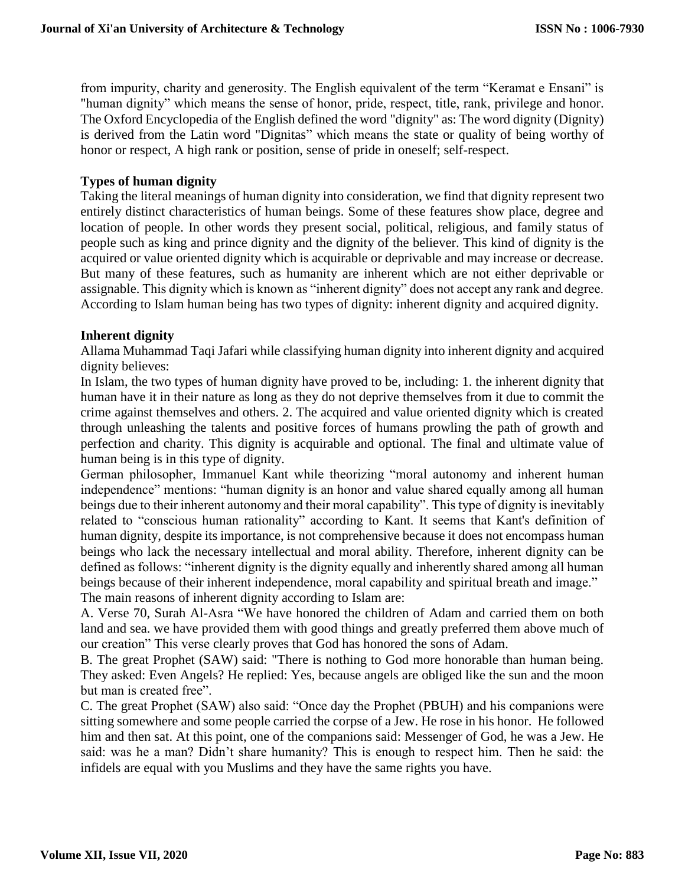from impurity, charity and generosity. The English equivalent of the term "Keramat e Ensani" is "human dignity" which means the sense of honor, pride, respect, title, rank, privilege and honor. The Oxford Encyclopedia of the English defined the word "dignity" as: The word dignity (Dignity) is derived from the Latin word "Dignitas" which means the state or quality of being [worthy](http://www.oxforddictionaries.com/definition/english/worthy#worthy__3) of honor or [respect,](http://www.oxforddictionaries.com/definition/english/respect#respect__3) A high rank or position, [sense](http://www.oxforddictionaries.com/definition/english/sense#sense__3) of [pride](http://www.oxforddictionaries.com/definition/english/pride#pride__7) in oneself; [self-respect.](http://www.oxforddictionaries.com/definition/english/self-respect#self-respect__3)

## **Types of human dignity**

Taking the literal meanings of human dignity into consideration, we find that dignity represent two entirely distinct characteristics of human beings. Some of these features show place, degree and location of people. In other words they present social, political, religious, and family status of people such as king and prince dignity and the dignity of the believer. This kind of dignity is the acquired or value oriented dignity which is acquirable or deprivable and may increase or decrease. But many of these features, such as humanity are inherent which are not either deprivable or assignable. This dignity which is known as "inherent dignity" does not accept any rank and degree. According to Islam human being has two types of dignity: inherent dignity and acquired dignity.

## **Inherent dignity**

Allama Muhammad Taqi Jafari while classifying human dignity into inherent dignity and acquired dignity believes:

In Islam, the two types of human dignity have proved to be, including: 1. the inherent dignity that human have it in their nature as long as they do not deprive themselves from it due to commit the crime against themselves and others. 2. The acquired and value oriented dignity which is created through unleashing the talents and positive forces of humans prowling the path of growth and perfection and charity. This dignity is acquirable and optional. The final and ultimate value of human being is in this type of dignity.

German philosopher, Immanuel Kant while theorizing "moral autonomy and inherent human independence" mentions: "human dignity is an honor and value shared equally among all human beings due to their inherent autonomy and their moral capability". This type of dignity is inevitably related to "conscious human rationality" according to Kant. It seems that Kant's definition of human dignity, despite its importance, is not comprehensive because it does not encompass human beings who lack the necessary intellectual and moral ability. Therefore, inherent dignity can be defined as follows: "inherent dignity is the dignity equally and inherently shared among all human beings because of their inherent independence, moral capability and spiritual breath and image." The main reasons of inherent dignity according to Islam are:

A. Verse 70, Surah Al-Asra "We have honored the children of Adam and carried them on both land and sea. we have provided them with good things and greatly preferred them above much of our creation" This verse clearly proves that God has honored the sons of Adam.

B. The great Prophet (SAW) said: "There is nothing to God more honorable than human being. They asked: Even Angels? He replied: Yes, because angels are obliged like the sun and the moon but man is created free".

C. The great Prophet (SAW) also said: "Once day the Prophet (PBUH) and his companions were sitting somewhere and some people carried the corpse of a Jew. He rose in his honor. He followed him and then sat. At this point, one of the companions said: Messenger of God, he was a Jew. He said: was he a man? Didn't share humanity? This is enough to respect him. Then he said: the infidels are equal with you Muslims and they have the same rights you have.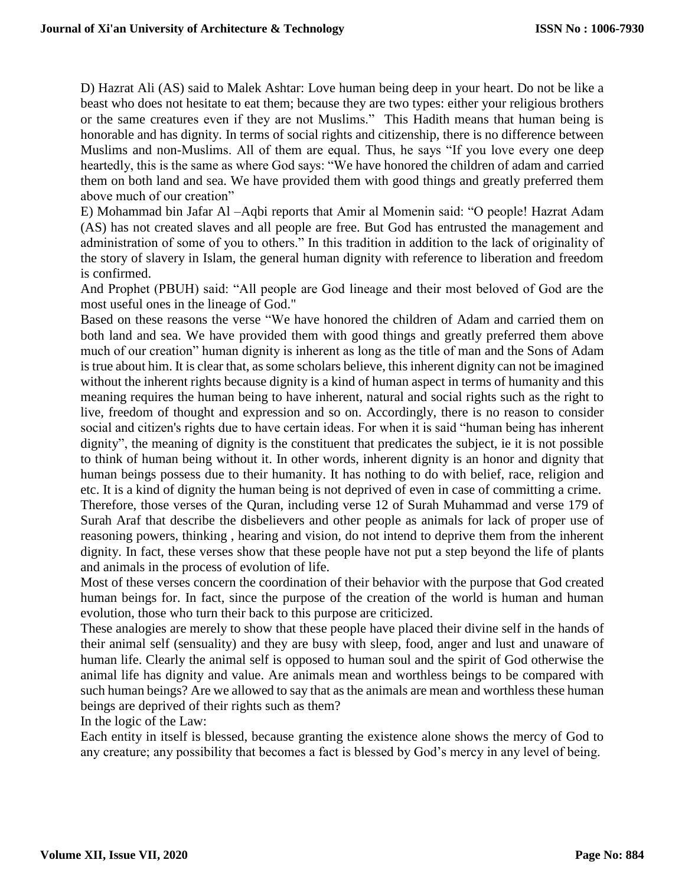D) Hazrat Ali (AS) said to Malek Ashtar: Love human being deep in your heart. Do not be like a beast who does not hesitate to eat them; because they are two types: either your religious brothers or the same creatures even if they are not Muslims." This Hadith means that human being is honorable and has dignity. In terms of social rights and citizenship, there is no difference between Muslims and non-Muslims. All of them are equal. Thus, he says "If you love every one deep heartedly, this is the same as where God says: "We have honored the children of adam and carried them on both land and sea. We have provided them with good things and greatly preferred them above much of our creation"

E) Mohammad bin Jafar Al –Aqbi reports that Amir al Momenin said: "O people! Hazrat Adam (AS) has not created slaves and all people are free. But God has entrusted the management and administration of some of you to others." In this tradition in addition to the lack of originality of the story of slavery in Islam, the general human dignity with reference to liberation and freedom is confirmed.

And Prophet (PBUH) said: "All people are God lineage and their most beloved of God are the most useful ones in the lineage of God."

Based on these reasons the verse "We have honored the children of Adam and carried them on both land and sea. We have provided them with good things and greatly preferred them above much of our creation" human dignity is inherent as long as the title of man and the Sons of Adam is true about him. It is clear that, as some scholars believe, this inherent dignity can not be imagined without the inherent rights because dignity is a kind of human aspect in terms of humanity and this meaning requires the human being to have inherent, natural and social rights such as the right to live, freedom of thought and expression and so on. Accordingly, there is no reason to consider social and citizen's rights due to have certain ideas. For when it is said "human being has inherent dignity", the meaning of dignity is the constituent that predicates the subject, ie it is not possible to think of human being without it. In other words, inherent dignity is an honor and dignity that human beings possess due to their humanity. It has nothing to do with belief, race, religion and etc. It is a kind of dignity the human being is not deprived of even in case of committing a crime. Therefore, those verses of the Quran, including verse 12 of Surah Muhammad and verse 179 of

Surah Araf that describe the disbelievers and other people as animals for lack of proper use of reasoning powers, thinking , hearing and vision, do not intend to deprive them from the inherent dignity. In fact, these verses show that these people have not put a step beyond the life of plants and animals in the process of evolution of life.

Most of these verses concern the coordination of their behavior with the purpose that God created human beings for. In fact, since the purpose of the creation of the world is human and human evolution, those who turn their back to this purpose are criticized.

These analogies are merely to show that these people have placed their divine self in the hands of their animal self (sensuality) and they are busy with sleep, food, anger and lust and unaware of human life. Clearly the animal self is opposed to human soul and the spirit of God otherwise the animal life has dignity and value. Are animals mean and worthless beings to be compared with such human beings? Are we allowed to say that as the animals are mean and worthless these human beings are deprived of their rights such as them?

In the logic of the Law:

Each entity in itself is blessed, because granting the existence alone shows the mercy of God to any creature; any possibility that becomes a fact is blessed by God's mercy in any level of being.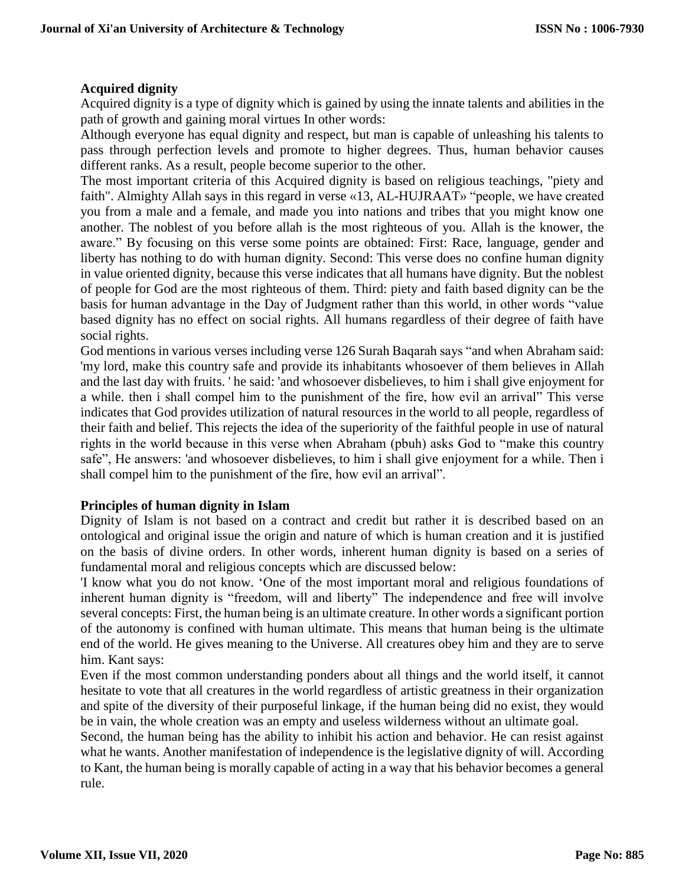## **Acquired dignity**

Acquired dignity is a type of dignity which is gained by using the innate talents and abilities in the path of growth and gaining moral virtues In other words:

Although everyone has equal dignity and respect, but man is capable of unleashing his talents to pass through perfection levels and promote to higher degrees. Thus, human behavior causes different ranks. As a result, people become superior to the other.

The most important criteria of this Acquired dignity is based on religious teachings, "piety and faith". Almighty Allah says in this regard in verse «13, AL-HUJRAAT» "people, we have created you from a male and a female, and made you into nations and tribes that you might know one another. The noblest of you before allah is the most righteous of you. Allah is the knower, the aware." By focusing on this verse some points are obtained: First: Race, language, gender and liberty has nothing to do with human dignity. Second: This verse does no confine human dignity in value oriented dignity, because this verse indicates that all humans have dignity. But the noblest of people for God are the most righteous of them. Third: piety and faith based dignity can be the basis for human advantage in the Day of Judgment rather than this world, in other words "value based dignity has no effect on social rights. All humans regardless of their degree of faith have social rights.

God mentions in various verses including verse 126 Surah Baqarah says "and when Abraham said: 'my lord, make this country safe and provide its inhabitants whosoever of them believes in Allah and the last day with fruits. ' he said: 'and whosoever disbelieves, to him i shall give enjoyment for a while. then i shall compel him to the punishment of the fire, how evil an arrival" This verse indicates that God provides utilization of natural resources in the world to all people, regardless of their faith and belief. This rejects the idea of the superiority of the faithful people in use of natural rights in the world because in this verse when Abraham (pbuh) asks God to "make this country safe", He answers: 'and whosoever disbelieves, to him i shall give enjoyment for a while. Then i shall compel him to the punishment of the fire, how evil an arrival".

## **Principles of human dignity in Islam**

Dignity of Islam is not based on a contract and credit but rather it is described based on an ontological and original issue the origin and nature of which is human creation and it is justified on the basis of divine orders. In other words, inherent human dignity is based on a series of fundamental moral and religious concepts which are discussed below:

'I know what you do not know. 'One of the most important moral and religious foundations of inherent human dignity is "freedom, will and liberty" The independence and free will involve several concepts: First, the human being is an ultimate creature. In other words a significant portion of the autonomy is confined with human ultimate. This means that human being is the ultimate end of the world. He gives meaning to the Universe. All creatures obey him and they are to serve him. Kant says:

Even if the most common understanding ponders about all things and the world itself, it cannot hesitate to vote that all creatures in the world regardless of artistic greatness in their organization and spite of the diversity of their purposeful linkage, if the human being did no exist, they would be in vain, the whole creation was an empty and useless wilderness without an ultimate goal.

Second, the human being has the ability to inhibit his action and behavior. He can resist against what he wants. Another manifestation of independence is the legislative dignity of will. According to Kant, the human being is morally capable of acting in a way that his behavior becomes a general rule.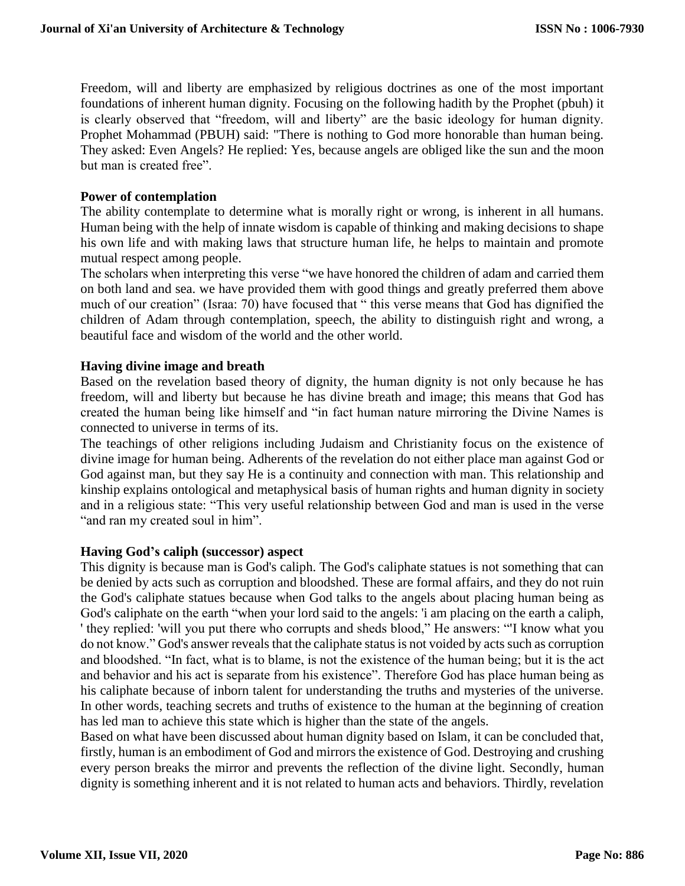Freedom, will and liberty are emphasized by religious doctrines as one of the most important foundations of inherent human dignity. Focusing on the following hadith by the Prophet (pbuh) it is clearly observed that "freedom, will and liberty" are the basic ideology for human dignity. Prophet Mohammad (PBUH) said: "There is nothing to God more honorable than human being. They asked: Even Angels? He replied: Yes, because angels are obliged like the sun and the moon but man is created free".

## **Power of contemplation**

The ability contemplate to determine what is morally right or wrong, is inherent in all humans. Human being with the help of innate wisdom is capable of thinking and making decisions to shape his own life and with making laws that structure human life, he helps to maintain and promote mutual respect among people.

The scholars when interpreting this verse "we have honored the children of adam and carried them on both land and sea. we have provided them with good things and greatly preferred them above much of our creation" (Israa: 70) have focused that " this verse means that God has dignified the children of Adam through contemplation, speech, the ability to distinguish right and wrong, a beautiful face and wisdom of the world and the other world.

#### **Having divine image and breath**

Based on the revelation based theory of dignity, the human dignity is not only because he has freedom, will and liberty but because he has divine breath and image; this means that God has created the human being like himself and "in fact human nature mirroring the Divine Names is connected to universe in terms of its.

The teachings of other religions including Judaism and Christianity focus on the existence of divine image for human being. Adherents of the revelation do not either place man against God or God against man, but they say He is a continuity and connection with man. This relationship and kinship explains ontological and metaphysical basis of human rights and human dignity in society and in a religious state: "This very useful relationship between God and man is used in the verse "and ran my created soul in him".

#### **Having God's caliph (successor) aspect**

This dignity is because man is God's caliph. The God's caliphate statues is not something that can be denied by acts such as corruption and bloodshed. These are formal affairs, and they do not ruin the God's caliphate statues because when God talks to the angels about placing human being as God's caliphate on the earth "when your lord said to the angels: 'i am placing on the earth a caliph, ' they replied: 'will you put there who corrupts and sheds blood," He answers: "'I know what you do not know." God's answer reveals that the caliphate status is not voided by acts such as corruption and bloodshed. "In fact, what is to blame, is not the existence of the human being; but it is the act and behavior and his act is separate from his existence". Therefore God has place human being as his caliphate because of inborn talent for understanding the truths and mysteries of the universe. In other words, teaching secrets and truths of existence to the human at the beginning of creation has led man to achieve this state which is higher than the state of the angels.

Based on what have been discussed about human dignity based on Islam, it can be concluded that, firstly, human is an embodiment of God and mirrors the existence of God. Destroying and crushing every person breaks the mirror and prevents the reflection of the divine light. Secondly, human dignity is something inherent and it is not related to human acts and behaviors. Thirdly, revelation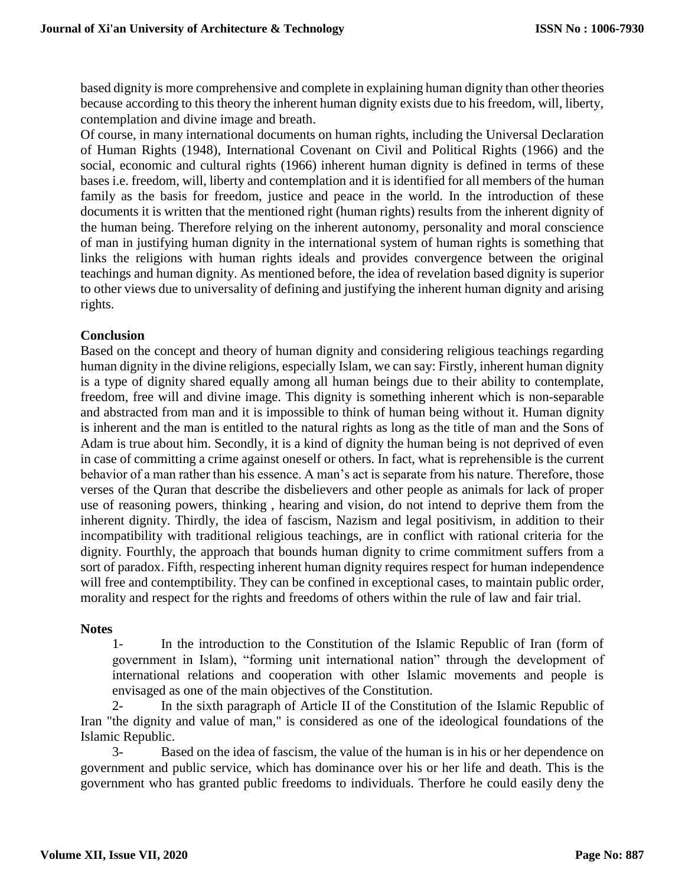based dignity is more comprehensive and complete in explaining human dignity than other theories because according to this theory the inherent human dignity exists due to his freedom, will, liberty, contemplation and divine image and breath.

Of course, in many international documents on human rights, including the Universal Declaration of Human Rights (1948), International Covenant on Civil and Political Rights (1966) and the social, economic and cultural rights (1966) inherent human dignity is defined in terms of these bases i.e. freedom, will, liberty and contemplation and it is identified for all members of the human family as the basis for freedom, justice and peace in the world. In the introduction of these documents it is written that the mentioned right (human rights) results from the inherent dignity of the human being. Therefore relying on the inherent autonomy, personality and moral conscience of man in justifying human dignity in the international system of human rights is something that links the religions with human rights ideals and provides convergence between the original teachings and human dignity. As mentioned before, the idea of revelation based dignity is superior to other views due to universality of defining and justifying the inherent human dignity and arising rights.

## **Conclusion**

Based on the concept and theory of human dignity and considering religious teachings regarding human dignity in the divine religions, especially Islam, we can say: Firstly, inherent human dignity is a type of dignity shared equally among all human beings due to their ability to contemplate, freedom, free will and divine image. This dignity is something inherent which is non-separable and abstracted from man and it is impossible to think of human being without it. Human dignity is inherent and the man is entitled to the natural rights as long as the title of man and the Sons of Adam is true about him. Secondly, it is a kind of dignity the human being is not deprived of even in case of committing a crime against oneself or others. In fact, what is reprehensible is the current behavior of a man rather than his essence. A man's act is separate from his nature. Therefore, those verses of the Quran that describe the disbelievers and other people as animals for lack of proper use of reasoning powers, thinking , hearing and vision, do not intend to deprive them from the inherent dignity. Thirdly, the idea of fascism, Nazism and legal positivism, in addition to their incompatibility with traditional religious teachings, are in conflict with rational criteria for the dignity. Fourthly, the approach that bounds human dignity to crime commitment suffers from a sort of paradox. Fifth, respecting inherent human dignity requires respect for human independence will free and contemptibility. They can be confined in exceptional cases, to maintain public order, morality and respect for the rights and freedoms of others within the rule of law and fair trial.

## **Notes**

1- In the introduction to the Constitution of the Islamic Republic of Iran (form of government in Islam), "forming unit international nation" through the development of international relations and cooperation with other Islamic movements and people is envisaged as one of the main objectives of the Constitution.

2- In the sixth paragraph of Article II of the Constitution of the Islamic Republic of Iran "the dignity and value of man," is considered as one of the ideological foundations of the Islamic Republic.

3- Based on the idea of fascism, the value of the human is in his or her dependence on government and public service, which has dominance over his or her life and death. This is the government who has granted public freedoms to individuals. Therfore he could easily deny the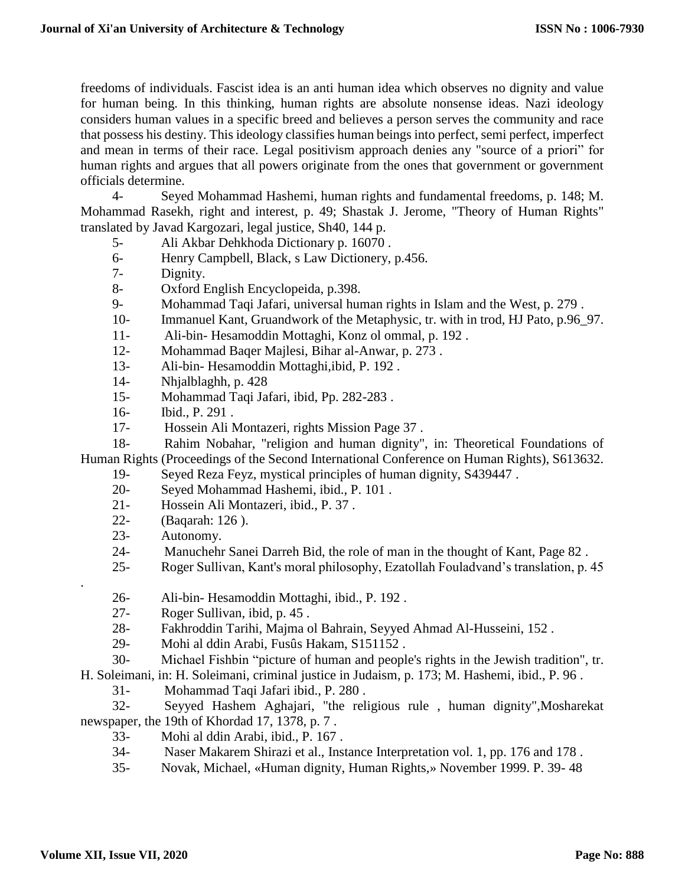freedoms of individuals. Fascist idea is an anti human idea which observes no dignity and value for human being. In this thinking, human rights are absolute nonsense ideas. Nazi ideology considers human values in a specific breed and believes a person serves the community and race that possess his destiny. This ideology classifies human beings into perfect, semi perfect, imperfect and mean in terms of their race. Legal positivism approach denies any "source of a priori" for human rights and argues that all powers originate from the ones that government or government officials determine.

4- Seyed Mohammad Hashemi, human rights and fundamental freedoms, p. 148; M. Mohammad Rasekh, right and interest, p. 49; Shastak J. Jerome, "Theory of Human Rights" translated by Javad Kargozari, legal justice, Sh40, 144 p.

- 5- Ali Akbar Dehkhoda Dictionary p. 16070 .
- 6- Henry Campbell, Black, s Law Dictionery, p.456.
- 7- Dignity.
- 8- Oxford English Encyclopeida, p.398.
- 9- Mohammad Taqi Jafari, universal human rights in Islam and the West, p. 279 .
- 10- Immanuel Kant, Gruandwork of the Metaphysic, tr. with in trod, HJ Pato, p.96\_97.
- 11- Ali-bin- Hesamoddin Mottaghi, Konz ol ommal, p. 192 .
- 12- Mohammad Baqer Majlesi, Bihar al-Anwar, p. 273 .
- 13- Ali-bin- Hesamoddin Mottaghi,ibid, P. 192 .
- 14- Nhjalblaghh, p. 428
- 15- Mohammad Taqi Jafari, ibid, Pp. 282-283 .
- 16- Ibid., P. 291 .
- 17- Hossein Ali Montazeri, rights Mission Page 37 .

18- Rahim Nobahar, "religion and human dignity", in: Theoretical Foundations of Human Rights (Proceedings of the Second International Conference on Human Rights), S613632.

- 19- Seyed Reza Feyz, mystical principles of human dignity, S439447 .
	- 20- Seyed Mohammad Hashemi, ibid., P. 101 .
	- 21- Hossein Ali Montazeri, ibid., P. 37 .
	- 22- (Baqarah: 126 ).
	- 23- Autonomy.
	- 24- Manuchehr Sanei Darreh Bid, the role of man in the thought of Kant, Page 82 .
	- 25- Roger Sullivan, Kant's moral philosophy, Ezatollah Fouladvand's translation, p. 45
	- 26- Ali-bin- Hesamoddin Mottaghi, ibid., P. 192 .
	- 27- Roger Sullivan, ibid, p. 45 .
	- 28- Fakhroddin Tarihi, Majma ol Bahrain, Seyyed Ahmad Al-Husseini, 152 .
	- 29- Mohi al ddin Arabi, Fusûs Hakam, S151152 .
- 30- Michael Fishbin "picture of human and people's rights in the Jewish tradition", tr.

H. Soleimani, in: H. Soleimani, criminal justice in Judaism, p. 173; M. Hashemi, ibid., P. 96 .

31- Mohammad Taqi Jafari ibid., P. 280 .

32- Seyyed Hashem Aghajari, "the religious rule , human dignity",Mosharekat newspaper, the 19th of Khordad 17, 1378, p. 7 .

- 33- Mohi al ddin Arabi, ibid., P. 167 .
- 34- Naser Makarem Shirazi et al., Instance Interpretation vol. 1, pp. 176 and 178 .
- 35- Novak, Michael, «Human dignity, Human Rights,» November 1999. P. 39- 48

.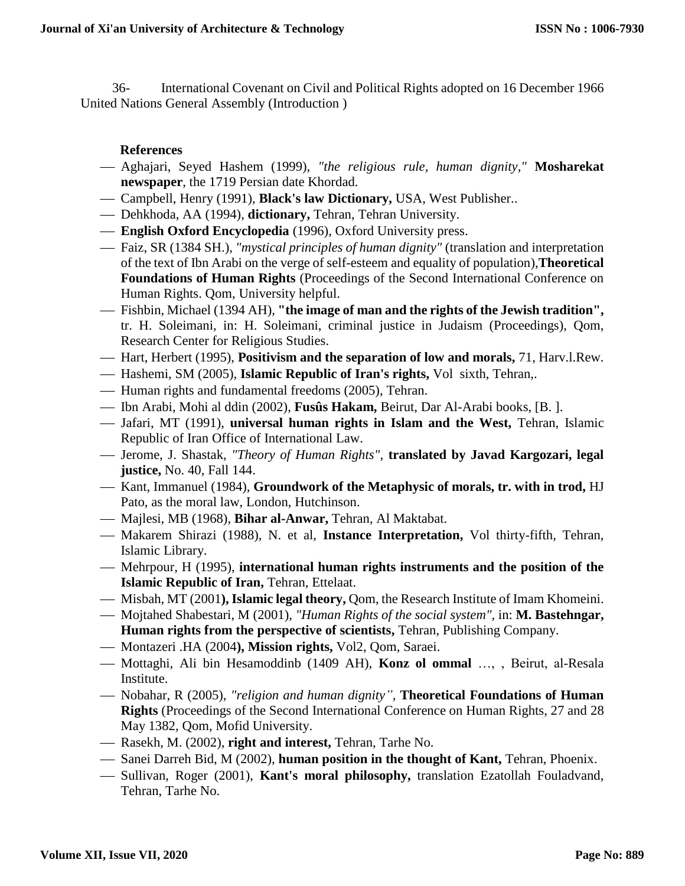36- International Covenant on Civil and Political Rights adopted on 16 December 1966 United Nations General Assembly (Introduction )

## **References**

- Aghajari, Seyed Hashem (1999), *"the religious rule, human dignity,"* **Mosharekat newspaper**, the 1719 Persian date Khordad.
- Campbell, Henry (1991), **Black's law Dictionary,** USA, West Publisher..
- Dehkhoda, AA (1994), **dictionary,** Tehran, Tehran University.
- **English Oxford Encyclopedia** (1996), Oxford University press.
- Faiz, SR (1384 SH.), *"mystical principles of human dignity"* (translation and interpretation of the text of Ibn Arabi on the verge of self-esteem and equality of population),**Theoretical Foundations of Human Rights** (Proceedings of the Second International Conference on Human Rights. Qom, University helpful.
- Fishbin, Michael (1394 AH), **"the image of man and the rights of the Jewish tradition",** tr. H. Soleimani, in: H. Soleimani, criminal justice in Judaism (Proceedings), Qom, Research Center for Religious Studies.
- Hart, Herbert (1995), **Positivism and the separation of low and morals,** 71, Harv.l.Rew.
- Hashemi, SM (2005), **Islamic Republic of Iran's rights,** Vol sixth, Tehran,.
- Human rights and fundamental freedoms (2005), Tehran.
- Ibn Arabi, Mohi al ddin (2002), **Fusûs Hakam,** Beirut, Dar Al-Arabi books, [B. ].
- Jafari, MT (1991), **universal human rights in Islam and the West,** Tehran, Islamic Republic of Iran Office of International Law.
- Jerome, J. Shastak, *"Theory of Human Rights",* **translated by Javad Kargozari, legal justice,** No. 40, Fall 144.
- Kant, Immanuel (1984), **Groundwork of the Metaphysic of morals, tr. with in trod,** HJ Pato, as the moral law, London, Hutchinson.
- Majlesi, MB (1968), **Bihar al-Anwar,** Tehran, Al Maktabat.
- Makarem Shirazi (1988), N. et al, **Instance Interpretation,** Vol thirty-fifth, Tehran, Islamic Library.
- Mehrpour, H (1995), **international human rights instruments and the position of the Islamic Republic of Iran,** Tehran, Ettelaat.
- Misbah, MT (2001**), Islamic legal theory,** Qom, the Research Institute of Imam Khomeini.
- Mojtahed Shabestari, M (2001), *"Human Rights of the social system",* in: **M. Bastehngar, Human rights from the perspective of scientists,** Tehran, Publishing Company.
- Montazeri .HA (2004**), Mission rights,** Vol2, Qom, Saraei.
- Mottaghi, Ali bin Hesamoddinb (1409 AH), **Konz ol ommal** …, , Beirut, al-Resala Institute.
- Nobahar, R (2005), *"religion and human dignity",* **Theoretical Foundations of Human Rights** (Proceedings of the Second International Conference on Human Rights, 27 and 28 May 1382, Qom, Mofid University.
- Rasekh, M. (2002), **right and interest,** Tehran, Tarhe No.
- Sanei Darreh Bid, M (2002), **human position in the thought of Kant,** Tehran, Phoenix.
- Sullivan, Roger (2001), **Kant's moral philosophy,** translation Ezatollah Fouladvand, Tehran, Tarhe No.